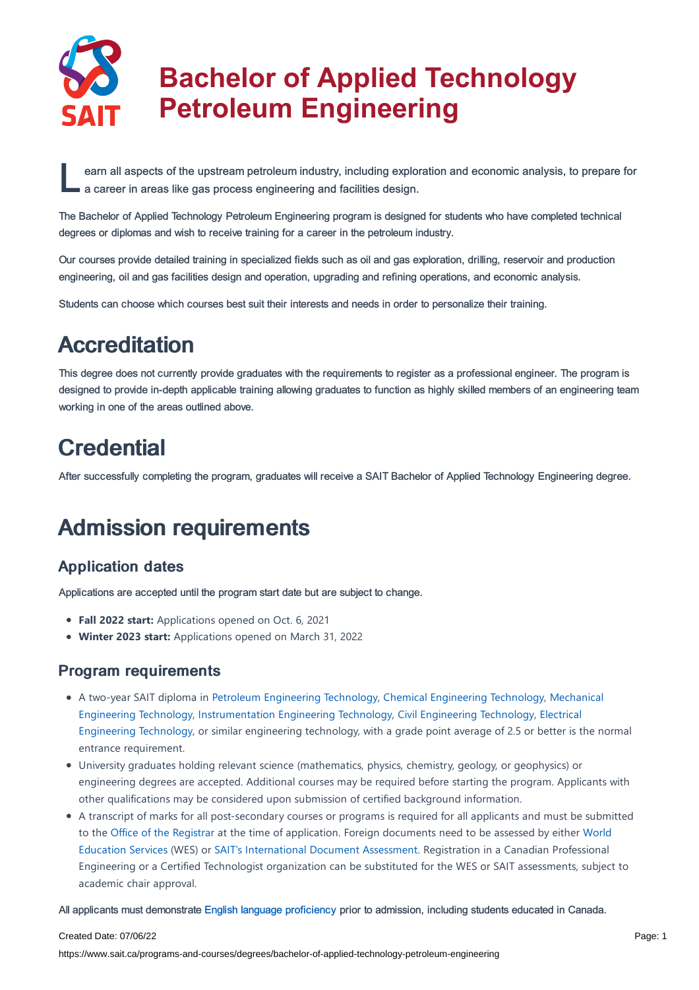

# **Bachelor of Applied Technology Petroleum Engineering**

earn all aspects of the upstream petroleum industry, including explore a career in areas like gas process engineering and facilities design. earn all aspects of the upstream petroleum industry, including exploration and economic analysis, to prepare for

The Bachelor of Applied Technology Petroleum Engineering program is designed for students who have completed technical degrees or diplomas and wish to receive training for a career in the petroleum industry.

Our courses provide detailed training in specialized fields such as oil and gas exploration, drilling, reservoir and production engineering, oil and gas facilities design and operation, upgrading and refining operations, and economic analysis.

Students can choose which courses best suit their interests and needs in order to personalize their training.

# **Accreditation**

This degree does not currently provide graduates with the requirements to register as a professional engineer. The program is designed to provide in-depth applicable training allowing graduates to function as highly skilled members of an engineering team working in one of the areas outlined above.

# **Credential**

After successfully completing the program, graduates will receive a SAIT Bachelor of Applied Technology Engineering degree.

# Admission requirements

# Application dates

Applications are accepted until the program start date but are subject to change.

- **Fall 2022 start:** Applications opened on Oct. 6, 2021
- **Winter 2023 start:** Applications opened on March 31, 2022

## Program requirements

- A two-year SAIT diploma in Petroleum [Engineering](https://www.sait.ca/programs-and-courses/diplomas/petroleum-engineering-technology) Technology, Chemical [Engineering](https://www.sait.ca/programs-and-courses/diplomas/chemical-engineering-technology) Technology, Mechanical Engineering Technology, [Instrumentation](https://www.sait.ca/programs-and-courses/diplomas/mechanical-engineering-technology) Engineering Technology, Civil [Engineering](https://www.sait.ca/programs-and-courses/diplomas/civil-engineering-technology) Technology, Electrical Engineering Technology, or similar engineering technology, with a grade point average of 2.5 or better is the normal entrance requirement.
- University graduates holding relevant science (mathematics, physics, chemistry, geology, or geophysics) or engineering degrees are accepted. Additional courses may be required before starting the program. Applicants with other qualifications may be considered upon submission of certified background information.
- A transcript of marks for all post-secondary courses or programs is required for all applicants and must be submitted to the Office of the [Registrar](https://www.sait.ca/student-life/office-of-the-registrar) at the time of application. Foreign documents need to be assessed by either World Education Services (WES) or SAIT's [International](http://www.wes.org/ca) Document Assessment. Registration in a Canadian Professional Engineering or a Certified Technologist organization can be substituted for the WES or SAIT assessments, subject to academic chair approval.

All applicants must demonstrate English language [proficiency](https://www.sait.ca/admissions/before-you-apply/english-proficiency) prior to admission, including students educated in Canada.

#### Created Date: 07/06/22

https://www.sait.ca/programs-and-courses/degrees/bachelor-of-applied-technology-petroleum-engineering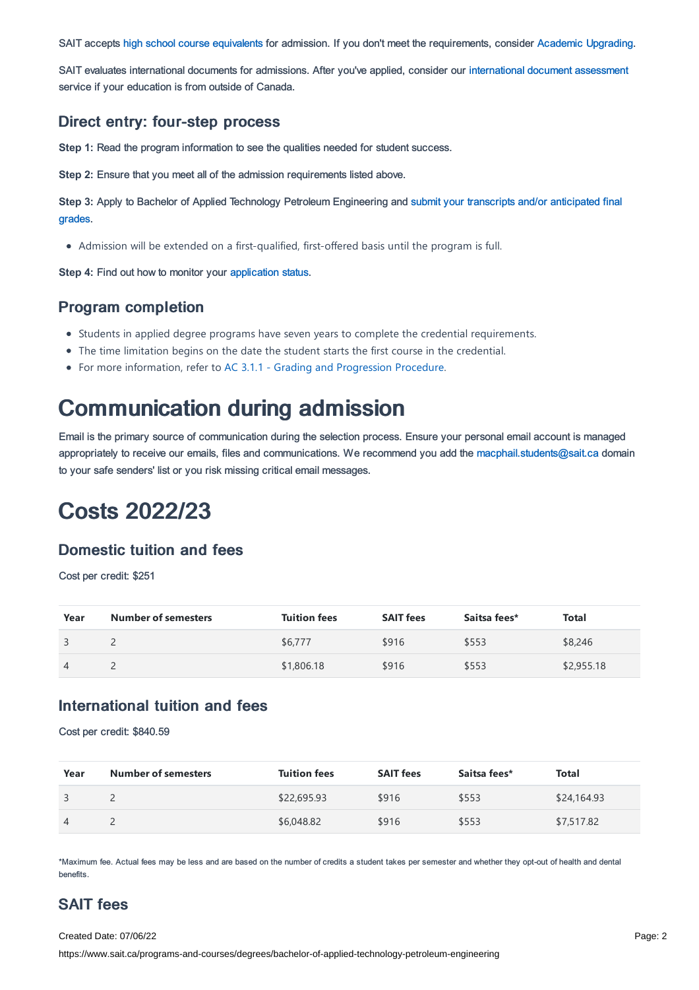SAIT accepts high school course [equivalents](https://www.sait.ca/admissions/before-you-apply/high-school-course-equivalencies) for admission. If you don't meet the requirements, consider Academic [Upgrading.](https://www.sait.ca/programs-and-courses/academic-upgrading)

SAIT evaluates international documents for admissions. After you've applied, consider our [international](https://www.sait.ca/admissions/after-you-apply/international-document-assessment) document assessment service if your education is from outside of Canada.

#### Direct entry: four-step process

**Step 1:** Read the program information to see the qualities needed for student success.

**Step 2:** Ensure that you meet all of the admission requirements listed above.

**Step 3:** Apply to Bachelor of Applied Technology Petroleum [Engineering](https://www.sait.ca/admissions/after-you-apply/transcripts-and-supporting-documents) and submit your transcripts and/or anticipated final grades.

Admission will be extended on a first-qualified, first-offered basis until the program is full.

**Step 4:** Find out how to monitor your [application](https://www.sait.ca/admissions/after-you-apply/tracking-your-application) status.

#### Program completion

- Students in applied degree programs have seven years to complete the credential requirements.
- The time limitation begins on the date the student starts the first course in the credential.
- For more information, refer to AC 3.1.1 Grading and [Progression](https://sait.ca/assets/documents/about-sait/policies-and-procedures/academic-student/ac-3-1-1-grading-and-progression.pdf) Procedure.

# Communication during admission

Email is the primary source of communication during the selection process. Ensure your personal email account is managed appropriately to receive our emails, files and communications. We recommend you add the [macphail.students@sait.ca](https://sait.camailto:macphail.students@sait.ca) domain to your safe senders' list or you risk missing critical email messages.

# Costs 2022/23

#### Domestic tuition and fees

Cost per credit: \$251

| Year | <b>Number of semesters</b> | <b>Tuition fees</b> | <b>SAIT fees</b> | Saitsa fees* | Total      |
|------|----------------------------|---------------------|------------------|--------------|------------|
|      |                            | \$6,777             | \$916            | \$553        | \$8,246    |
|      |                            | \$1,806.18          | \$916            | \$553        | \$2,955.18 |

#### International tuition and fees

Cost per credit: \$840.59

| Year           | <b>Number of semesters</b> | <b>Tuition fees</b> | <b>SAIT fees</b> | Saitsa fees* | Total       |
|----------------|----------------------------|---------------------|------------------|--------------|-------------|
|                |                            | \$22,695.93         | \$916            | \$553        | \$24,164.93 |
| $\overline{4}$ |                            | \$6,048.82          | \$916            | \$553        | \$7,517.82  |

\*Maximum fee. Actual fees may be less and are based on the number of credits a student takes per semester and whether they opt-out of health and dental benefits.

# SAIT fees

Created Date: 07/06/22